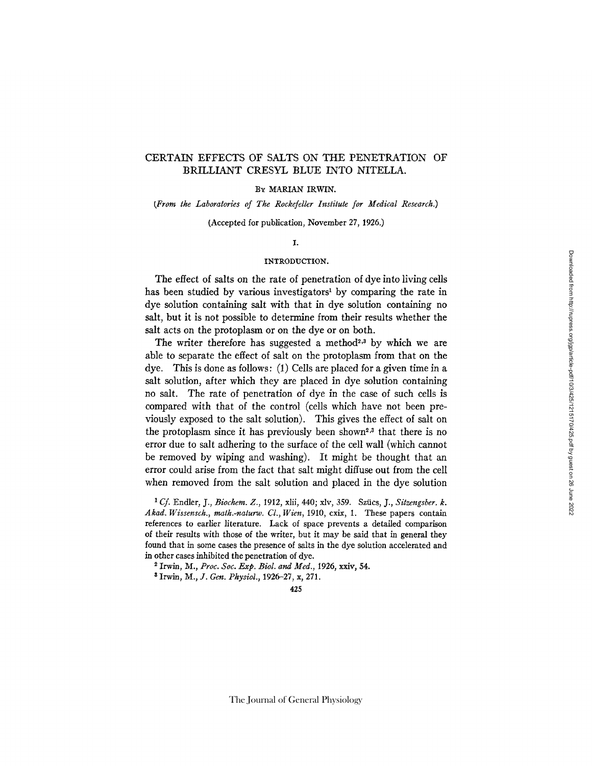# CERTAIN EFFECTS OF SALTS ON THE PENETRATION OF BRILLIANT CRESYL BLUE INTO NITELLA.

### BY MARIAN IRWIN.

### *(From the Laboratories of The Rockefeller Institute for Medical Research.)*

(Accepted for publication, November 27, 1926.)

### I.

### INTRODUCTION.

The effect of salts on the rate of penetration of dye into living cells has been studied by various investigators<sup>1</sup> by comparing the rate in dye solution containing salt with that in dye solution containing no salt, but it is not possible to determine from their results whether the salt acts on the protoplasm or on the dye or on both.

The writer therefore has suggested a method<sup>2,3</sup> by which we are able to separate the effect of salt on the protoplasm from that on the dye. This is done as follows: (1) Cells are placed for a given time in a salt solution, after which they are placed in dye solution containing no salt. The rate of penetration of dye in the case of such cells is compared with that of the control (cells which have not been previously exposed to the salt solution). This gives the effect of salt on the protoplasm since it has previously been shown<sup>2,3</sup> that there is no error due to salt adhering to the surface of the cell wall (which cannot be removed by wiping and washing). It might be thought that an error could arise from the fact that salt might diffuse out from the cell when removed from the salt solution and placed in the dye solution

*1 Cf.* Endler, J., *Biochem. Z.,* 1912, xlii, 440; x/v, 359. Sziics, J., *Sitzengsber. k. Akad. Wissensch., math.-naturw. Cl., Wien,* 1910, cxix, I. These papers contain references to earlier literature. Lack of space prevents a detailed comparison of their results with those of the writer, but it may be said that in general they found that in some cases the presence of salts in the dye solution accelerated and in other cases inhibited the penetration of dye.

2 Irwin, *M., Proc. Soc. Exp. Biol. and Med.,* 1926, xxiv, 54.

 $*$  Irwin, M., J. Gen. Physiol., 1926-27, x, 271.

425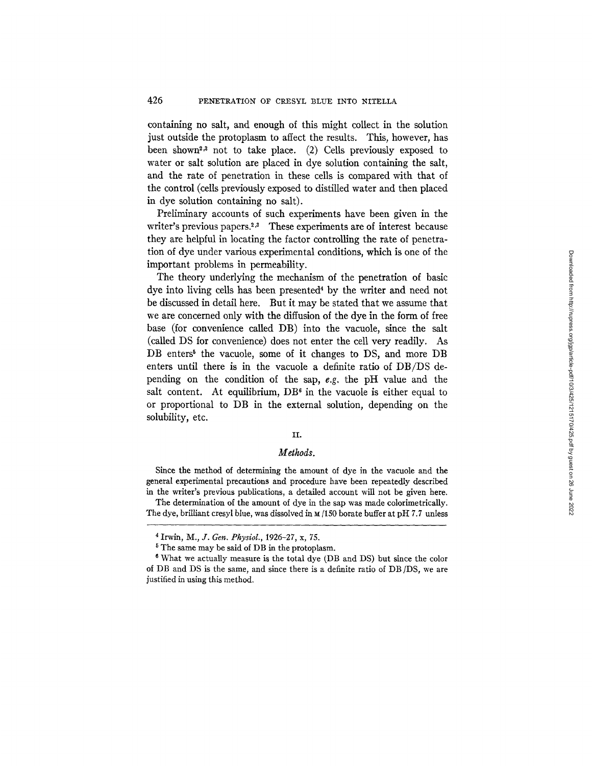containing no salt, and enough of this might collect in the solution just outside the protoplasm to affect the results. This, however, has been shown<sup>2,3</sup> not to take place. (2) Cells previously exposed to water or salt solution are placed in dye solution containing the salt, and the rate of penetration in these cells is compared with that of the control (cells previously exposed to distilled water and then placed in dye solution containing no salt).

Preliminary accounts of such experiments have been given in the writer's previous papers.<sup>2,3</sup> These experiments are of interest because they are helpful in locating the factor controlling the rate of penetration of dye under various experimental conditions, which is one of the important problems in permeability.

The theory underlying the mechanism of the penetration of basic dye into living cells has been presented<sup>4</sup> by the writer and need not be discussed in detail here. But it may be stated that we assume that we are concerned only with the diffusion of the dye in the form of free base (for convenience called DB) into the vacuole, since the salt (called DS for convenience) does not enter the cell very readily. As DB enters<sup>5</sup> the vacuole, some of it changes to DS, and more DB enters until there is in the vacuole a definite ratio of DB/DS depending on the condition of the sap, *e.g.* the pH value and the salt content. At equilibrium,  $DB^6$  in the vacuole is either equal to or proportional to DB in the external solution, depending on the solubility, etc.

### II.

## *Methods.*

Since the method of determining the amount of dye in the vacuole and the general experimental precautions and procedure have been repeatedly described in the writer's previous publications, a detailed account will not be given here.

The determination of the amount of dye in the sap was made colorimetrically. The dye, brilliant cresyl blue, was dissolved in M/150 borate buffer at pH *7.7* unless

<sup>4</sup> Irwin, *M., Y. Gen. Physiol.,* 1926-27, x, 75.

<sup>&</sup>lt;sup>5</sup> The same may be said of DB in the protoplasm.

<sup>6</sup> What we actually measure is the total dye (DB and DS) but since the color of DB and DS is the same, and since there is a definite ratio of DB/DS, we are justified in using this method.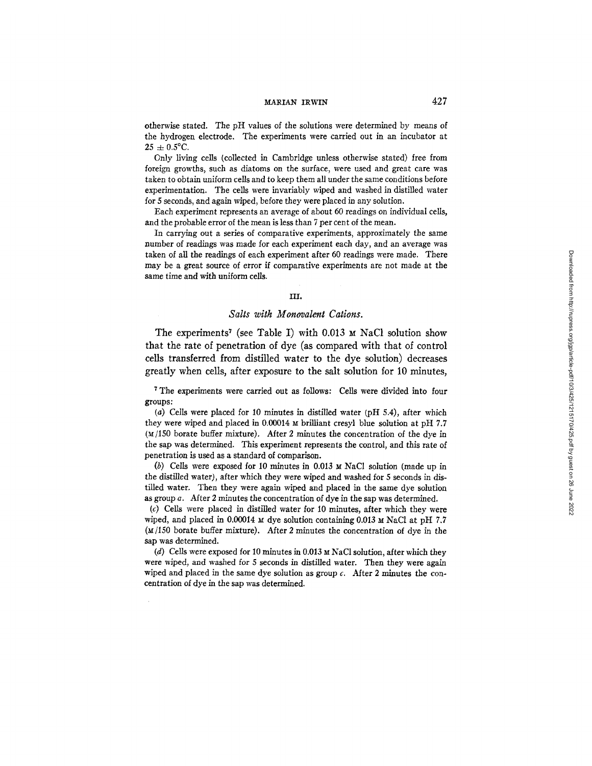# MARIAN IRWIN 427

otherwise stated. The pH values of the solutions were determined by means of the hydrogen electrode. The experiments were carried out in an incubator at  $25 \pm 0.5$ °C.

Only living cells (collected in Cambridge unless otherwise stated) free from foreign growths, such as diatoms on the surface, were used and great care was taken to obtain uniform cells and to keep them all under the same conditions before experimentation. The cells were invariably wiped and washed in distilled water for 5 seconds, and again wiped, before they were placed in any solution.

Each experiment represents an average of about 60 readings on individual cells, and the probable error of the mean is less than 7 per cent of the mean.

In carrying out a series of comparative experiments, approximately the same number of readings was made for each experiment each day, and an average was taken of all the readings of each experiment after 60 readings were made. There may be a great source of error if comparative experiments are not made at the same time and with uniform ceils.

#### HI.

### *Salts with Monovalent Cations.*

The experiments<sup>7</sup> (see Table I) with 0.013  $\text{M}$  NaCl solution show that the rate of penetration of dye (as compared with that of control cells transferred from distilled water to the dye solution) decreases greatly when cells, after exposure to the salt solution for 10 minutes,

7 The experiments were carried out as follows: Cells were divided into four groups:

(a) Ceils were placed for 10 minutes in distilled water (pH 5.4), after which they were wiped and placed in  $0.00014$  M brilliant cresyl blue solution at pH 7.7  $(M/150$  borate buffer mixture). After 2 minutes the concentration of the dye in the sap was determined. This experiment represents the control, and this rate of penetration is used as a standard of comparison.

(b) Cells were exposed for 10 minutes in 0.013  $\mu$  NaCl solution (made up in the distilled water), after which they were wiped and washed for 5 seconds in distilled water. Then they were again wiped and placed in the same dye solution as group a. After 2 minutes the concentration of dye in the sap was determined.

(c) Cells were placed in distilled water for 10 minutes, after which they were wiped, and placed in 0.00014  $\times$  dye solution containing 0.013  $\times$  NaCl at pH 7.7  $(M/150$  borate buffer mixture). After 2 minutes the concentration of dye in the sap was determined.

(d) Cells were exposed for 10 minutes in 0.013  $\mu$  NaCl solution, after which they were wiped, and washed for 5 seconds in distilled water. Then they were again wiped and placed in the same dye solution as group  $c$ . After 2 minutes the concentration of dye in the sap was determined.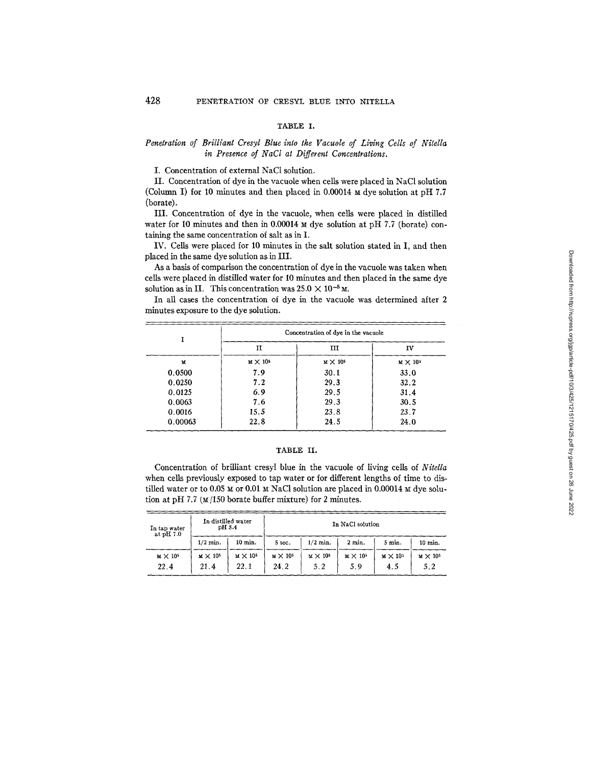### TABLE I.

## *Penetration of Brilliant Cresyl Blue into the Vacuole of Living Cells of Nitella in Presence of NaCl at Different Concentrations.*

I. Concentration of external NaC1 solution.

II. Concentration of dye in the vacuole when cells were placed in NaC1 solution (Column I) for 10 minutes and then placed in 0.00014  $\mu$  dye solution at pH 7.7 (borate).

III. Concentration of dye in the vacuole, when cells were placed in distilled water for 10 minutes and then in 0.00014  $\mu$  dye solution at pH 7.7 (borate) containing the same concentration of salt as in I.

IV. Cells were placed for 10 minutes in the salt solution stated in I, and then placed in the same dye solution as in III.

As a basis of comparison the concentration of dye in the vacuole was taken when cells were placed in distilled water for I0 minutes and then placed in the same dye solution as in II. This concentration was  $25.0 \times 10^{-5}$  M.

In all cases the concentration of dye in the vacuole was determined after 2 minutes exposure to the dye solution.

|         | Concentration of dye in the vacuole |                   |                   |
|---------|-------------------------------------|-------------------|-------------------|
|         | п                                   | ш                 | IV                |
| M       | $M \times 10^{5}$                   | $M \times 10^{5}$ | $M \times 10^{5}$ |
| 0.0500  | 7.9                                 | 30.1              | 33.0              |
| 0.0250  | 7.2                                 | 29.3              | 32.2              |
| 0.0125  | 6.9                                 | 29.5              | 31.4              |
| 0.0063  | 7.6                                 | 29.3              | 30.5              |
| 0.0016  | 15.5                                | 23.8              | 23.7              |
| 0.00063 | 22.8                                | 24.5              | 24.0              |

#### TABLE II.

Concentration of brilliant cresyl blue in the vacuole of living cells of *Nitella*  when cells previously exposed to tap water or for different lengths of time to distilled water or to 0.05  $\times$  or 0.01  $\times$  NaCl solution are placed in 0.00014  $\times$  dye solution at pH 7.7 ( $M/150$  borate buffer mixture) for 2 minutes.

| In tap water<br>-at pH $7.0$ | In distilled water<br>pH 5.4 |                         | In NaCl solution        |                               |                        |                          |                        |
|------------------------------|------------------------------|-------------------------|-------------------------|-------------------------------|------------------------|--------------------------|------------------------|
|                              | $1/2$ min.                   | 10 min.                 | 5 sec.                  | $1/2$ min.                    | 2 min.                 | $5$ min.                 | $10 \text{ min.}$      |
| $M \times 10^{5}$<br>22.4    | $M \times 10^{5}$<br>21.4    | $M \times 10^5$<br>22.1 | $M \times 10^5$<br>24.2 | $\text{M} \times 10^5$<br>5.2 | $M \times 10^5$<br>5.9 | $M \times 10^{5}$<br>4.5 | $M \times 10^5$<br>5.2 |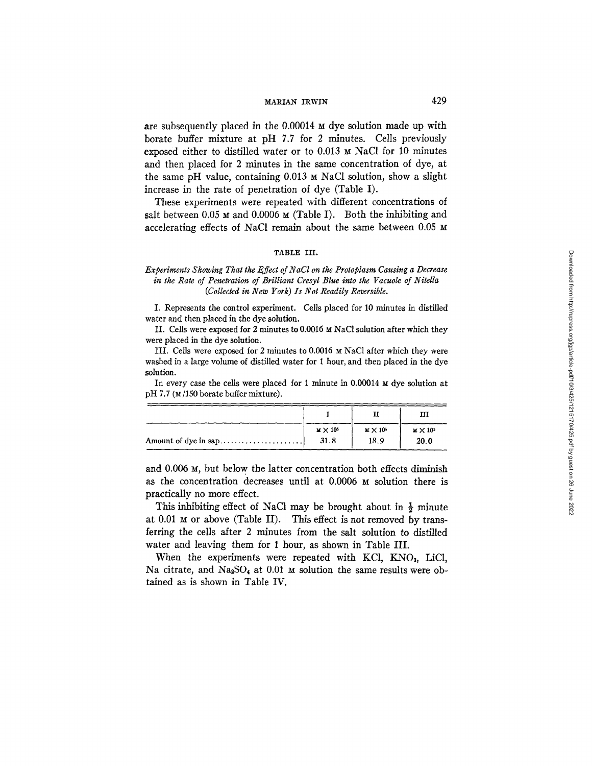# $\text{MARIAN}$  IRWIN 429

are subsequently placed in the 0.00014 M dye solution made up with borate buffer mixture at pH 7.7 for 2 minutes. Cells previously exposed either to distilled water or to  $0.013 \times$  NaCl for 10 minutes and then placed for 2 minutes in the same concentration of dye, at the same pH value, containing 0.013 M NaC1 solution, show a slight increase in the rate of penetration of dye (Table I).

These experiments were repeated with different concentrations of salt between 0.05  $\text{M}$  and 0.0006  $\text{M}$  (Table I). Both the inhibiting and accelerating effects of NaC1 remain about the same between 0.05 M

#### TABLE III.

## *Experiments Showing That the Effect of N aCl on the Protoplasm Causing a Decrease in the Rate of Penetration of Brilliant Cresyl Blue into the Vacuole of Nitella (Collected in New York) Is Not Readily Reversible.*

I. Represents the control experiment. Cells placed for 10 minutes in distilled water and then placed in the dye solution.

II. Cells were exposed for 2 minutes to  $0.0016$  M NaCl solution after which they were placed in the dye solution.

III. Cells were exposed for 2 minutes to 0.0016 M NaC1 after which they were washed in a large volume of distilled water for 1 hour, and then placed in the dye solution.

In every case the cells were placed for 1 minute in  $0.00014 \times d$  dye solution at pH 7.7 (M/150 borate buffer mixture).

|                      | $M \times 10^{5}$ | $M \times 10^{5}$ | $M \times 10^5$ |
|----------------------|-------------------|-------------------|-----------------|
| Amount of dye in sap | 31.8              | 18.9              | 20.0            |

and 0.006 M, but below the latter concentration both effects diminish as the concentration decreases until at 0.0006 M solution there is practically no more effect.

This inhibiting effect of NaCl may be brought about in  $\frac{1}{2}$  minute at  $0.01$  M or above (Table II). This effect is not removed by transferring the cells after 2 minutes from the salt solution to distilled water and leaving them for 1 hour, as shown in Table III.

When the experiments were repeated with KCl, KNO3, LiCl, Na citrate, and Na<sub>2</sub>SO<sub>4</sub> at 0.01  $\mu$  solution the same results were obtained as is shown in Table IV.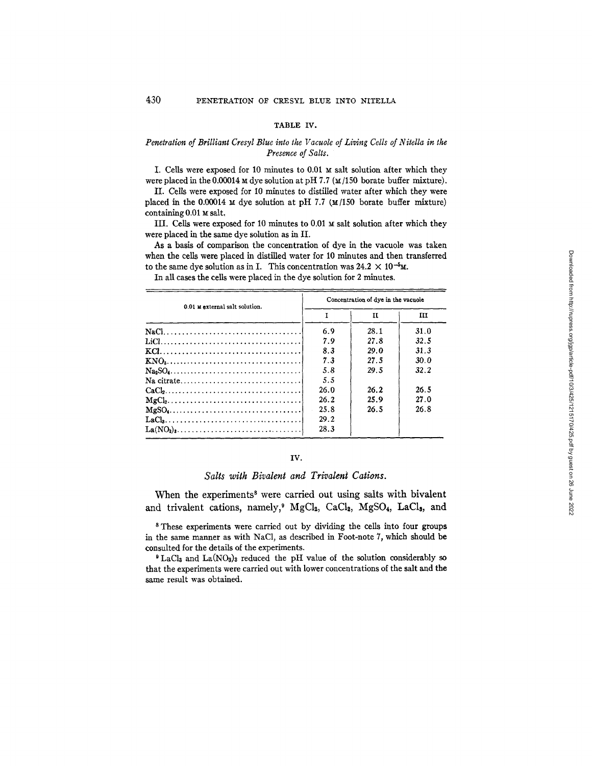#### TABLE IV.

## *Penetration of Brilliant Cresyl Blue into the Vacuole of Living Cells of Nitella in the Presence of Salts.*

I. Cells were exposed for 10 minutes to  $0.01 \text{ m}$  salt solution after which they were placed in the 0.00014  $\times$  dye solution at pH 7.7 ( $\times$ /150 borate buffer mixture).

II. Cells were exposed for I0 minutes to distilled water after which they were placed in the 0.00014  $\text{M}$  dye solution at pH 7.7 ( $\text{M}/150$  borate buffer mixture) containing 0.01 M salt,

III. Cells were exposed for 10 minutes to 0.01  $\text{M}$  salt solution after which they were placed in the same dye solution as in II.

As a basis of comparison the concentration of dye in the vacuole was taken when the cells were placed in distilled water for 10 minutes and then transferred to the same dye solution as in I. This concentration was  $24.2 \times 10^{-5}$ M.

In all cases the cells were placed in the dye solution for 2 minutes.

| 0.01 Mexternal salt solution.                                                           | Concentration of dye in the vacuole |      |      |  |
|-----------------------------------------------------------------------------------------|-------------------------------------|------|------|--|
|                                                                                         |                                     | п    | ш    |  |
|                                                                                         | 6.9                                 | 28.1 | 31.0 |  |
|                                                                                         | 7.9                                 | 27.8 | 32.5 |  |
|                                                                                         | 8.3                                 | 29.0 | 31.3 |  |
| $KNO_3, \ldots, \ldots, \ldots, \ldots, \ldots, \ldots, \ldots, \ldots, \ldots,$        | 7.3                                 | 27.5 | 30.0 |  |
|                                                                                         | 5.8                                 | 29.5 | 32.2 |  |
|                                                                                         | 5.5                                 |      |      |  |
| $CaCl2, \ldots, \ldots, \ldots, \ldots, \ldots, \ldots, \ldots, \ldots, \ldots, \ldots$ | 26.0                                | 26.2 | 26.5 |  |
|                                                                                         | 26.2                                | 25.9 | 27.0 |  |
|                                                                                         | 25.8                                | 26.5 | 26.8 |  |
|                                                                                         | 29.2                                |      |      |  |
| $La(NO3)3$                                                                              | 28.3                                |      |      |  |

# IV.

## *Salts with Bivalent and Trivalent Cations.*

When the experiments<sup>8</sup> were carried out using salts with bivalent and trivalent cations, namely,<sup>9</sup> MgCl<sub>2</sub>, CaCl<sub>2</sub>, MgSO<sub>4</sub>, LaCl<sub>2</sub>, and

s These experiments were carried out by dividing the ceils into four groups in the same manner as with NaC1, as described in Foot-note 7, which should be consulted for the details of the experiments.

 $^9$  LaCl<sub>3</sub> and La(NO<sub>3</sub>)<sub>3</sub> reduced the pH value of the solution considerably so that the experiments were carried out with lower concentrations of the salt and the same result was obtained.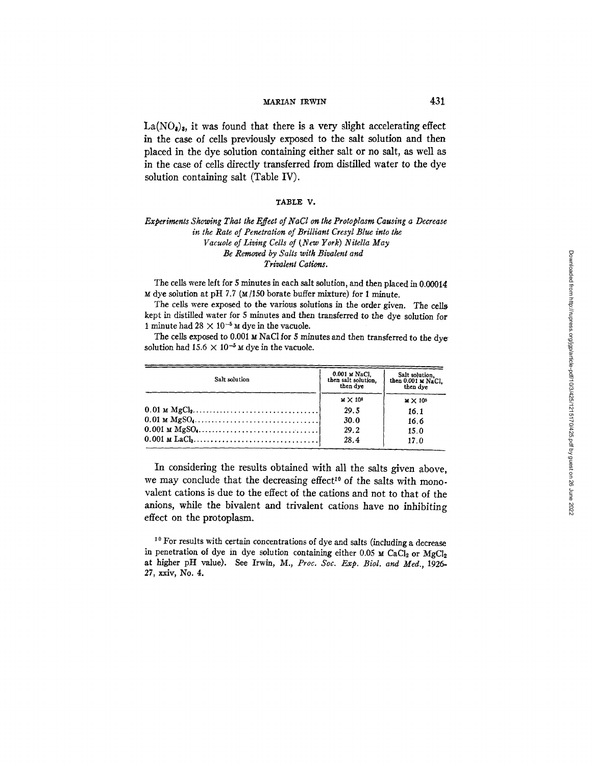# $\text{MARIAN}$  IRWIN 431

 $La(NO_s)_s$ , it was found that there is a very slight accelerating effect in the case of cells previously exposed to the salt solution and then placed in the dye solution containing either salt or no salt, as weU as in the case of cells directly transferred from distilled water to the dye solution containing salt (Table IV).

### **TABLE V.**

### *Experiments Showing That the Effect of NaCl on the Protoplasm Causing a Decrease in the Rate of Penetration of Brilliant Cresyl Blue into the Vacuole of Living Cells of (New York) Nitella May Be Removed by Salts with Bivalent and Trivalent Cations.*

The cells were left for 5 minutes in each salt solution, and then placed in 0.00014  $\mu$  dye solution at pH 7.7 ( $\mu$ /150 borate buffer mixture) for 1 minute.

The cells were exposed to the various solutions in the order given. The cells kept in distilled water for 5 minutes and then transferred to the dye solution for 1 minute had  $28 \times 10^{-5}$  M dye in the vacuole.

The cells exposed to 0.001  $\boldsymbol{\text{m}}$  NaCl for 5 minutes and then transferred to the dye solution had 15.6  $\times$  10<sup>-5</sup>  $\times$  dye in the vacuole.

| Salt solution                                                                               | $0.001 \leq NaCl$ , then salt solution,<br>then dve | Salt solution,<br>then 0.001 M NaCl,<br>then dye |  |
|---------------------------------------------------------------------------------------------|-----------------------------------------------------|--------------------------------------------------|--|
|                                                                                             | $M \times 10^{5}$                                   | $M \times 10^{5}$                                |  |
| $0.01$ M $MgCl2, \ldots, \ldots, \ldots, \ldots, \ldots, \ldots, \ldots, \ldots$            | 29.5                                                | 16.1                                             |  |
| $0.01 \text{ m } \text{MgSO}_4 \dots \dots \dots \dots \dots \dots \dots \dots \dots \dots$ | 30.0                                                | 16.6                                             |  |
| $0.001 \text{ m } \text{MgSO}_4, \ldots, \ldots, \ldots, \ldots, \ldots, \ldots, \ldots$    | 29.2                                                | 15.0                                             |  |
|                                                                                             | 28.4                                                | 17.0                                             |  |

In considering the results obtained with all the salts given above, we may conclude that the decreasing effect<sup>10</sup> of the salts with monovalent cations is due to the effect of the cations and not to that of the anions, while the bivalent and trivaient cations have no inhibiting effect on the protoplasm.

 $10$  For results with certain concentrations of dye and salts (including a decrease in penetration of dye in dye solution containing either 0.05  $\times$  CaCl<sub>2</sub> or MgCl<sub>2</sub> at higher pH value). See Irwin, M., *Proc. Soc. Exp. Biol. and Med.,* 1926- *27,* xxiv, No. 4.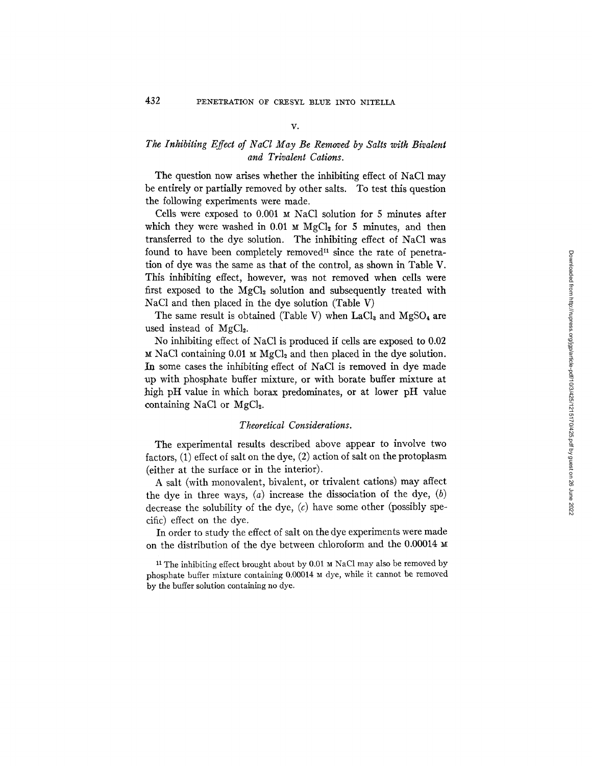### *v.*

# *The Inhibiting Effect of NaCl May Be Removed by Salts with Bivalent and Trivalent Cations.*

The question now arises whether the inhibiting effect of NaC1 may be entirely or partially removed by other salts. To test this question the following experiments were made.

Cells were exposed to 0.001 M NaC1 solution for 5 minutes after which they were washed in 0.01  $\text{M gCl}_2$  for 5 minutes, and then transferred to the dye solution. The inhibiting effect of NaC1 was found to have been completely removed<sup>11</sup> since the rate of penetration of dye was the same as that of the control, as shown in Table V. This inhibiting effect, however, was not removed when cells were first exposed to the  $MgCl<sub>2</sub>$  solution and subsequently treated with NaC1 and then placed in the dye solution (Table V)

The same result is obtained (Table V) when  $LaCl<sub>3</sub>$  and MgSO<sub>4</sub> are used instead of  $MgCl<sub>2</sub>$ .

No inhibiting effect of NaC1 is produced if cells are exposed to 0.02  $M$  NaCl containing 0.01  $M$  MgCl<sub>2</sub> and then placed in the dye solution. In some cases the inhibiting effect of NaC1 is removed in dye made ~up with phosphate buffer mixture, or with borate buffer mixture at high pH value in which borax predominates, or at lower pH value containing NaCl or  $MgCl<sub>2</sub>$ .

# *Theoretical Considerations.*

The experimental results described above appear to involve two factors, (1) effect of salt on the dye, (2) action of salt on the protoplasm (either at the surface or in the interior).

A salt (with monovalent, bivalent, or trivalent cations) may affect the dye in three ways,  $(a)$  increase the dissociation of the dye,  $(b)$ decrease the solubility of the dye,  $(c)$  have some other (possibly specific) effect on the dye.

In order to study the effect of salt on the dye experiments were made on the distribution of the dye between chloroform and the 0.00014

<sup>11</sup> The inhibiting effect brought about by 0.01 M NaC1 may also be removed by phosphate buffer mixture containing  $0.00014$   $\text{M}$  dye, while it cannot be removed by the buffer solution containing no dye.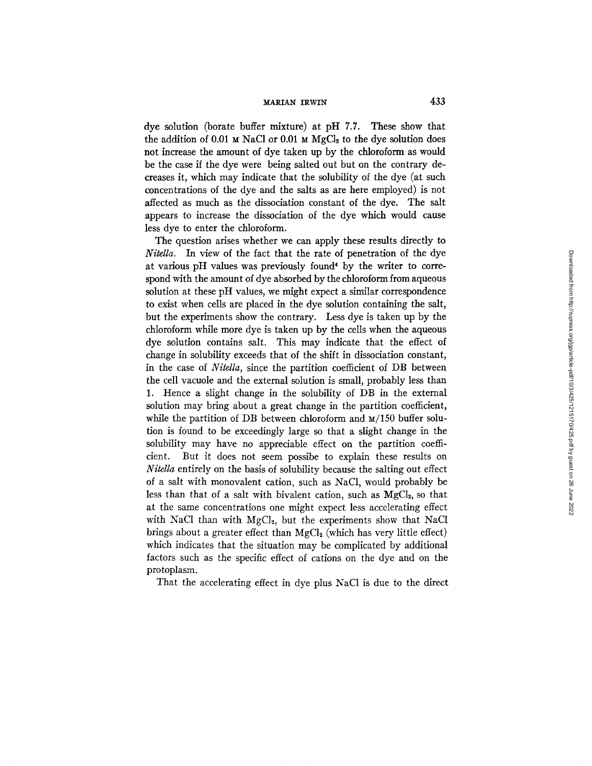MARIAN IRWIN 433

dye solution (borate buffer mixture) at pH 7.7. These show that the addition of 0.01  $\text{M}$  NaCl or 0.01  $\text{M}$  MgCl<sub>2</sub> to the dye solution does not increase the amount of dye taken up by the chloroform as would be the case if the dye were being salted out but on the contrary decreases it, which may indicate that the solubility of the dye (at such concentrations of the dye and the salts as are here employed) is not affected as much as the dissociation constant of the dye. The salt appears to increase the dissociation of the dye which would cause less dye to enter the chloroform.

The question arises whether we can apply these results directly to *Nitella.* In view of the fact that the rate of penetration of the dye at various pH values was previously found\* by the writer to correspond with the amount of dye absorbed by the chloroform from aqueous solution at these pH values, we might expect a similar correspondence to exist when cells are placed in the dye solution containing the salt, but the experiments show the contrary. Less dye is taken up by the chloroform while more dye is taken up by the cells when the aqueous dye solution contains salt. This may indicate that the effect of change in solubility exceeds that of the shift in dissociation constant, in the case of *Nitella,* since the partition coefficient of DB between the cell vacuole and the external solution is small, probably less than 1. Hence a slight change in the solubility of DB in the external solution may bring about a great change in the partition coefficient, while the partition of DB between chloroform and  $M/150$  buffer solution is found to be exceedingly large so that a slight change in the solubility may have no appreciable effect on the partition coefficient. But it does not seem possibe to explain these results on *Nitella* entirely on the basis of solubility because the salting out effect of a salt with monovalent cation, such as NaC1, would probably be less than that of a salt with bivalent cation, such as  $MgCl<sub>2</sub>$ , so that at the same concentrations one might expect less accelerating effect with NaCl than with  $MgCl<sub>2</sub>$ , but the experiments show that NaCl brings about a greater effect than  $MgCl<sub>2</sub>$  (which has very little effect) which indicates that the situation may be complicated by additional factors such as the specific effect of cations on the dye and on the protoplasm.

That the accelerating effect in dye plus NaC1 is due to the direct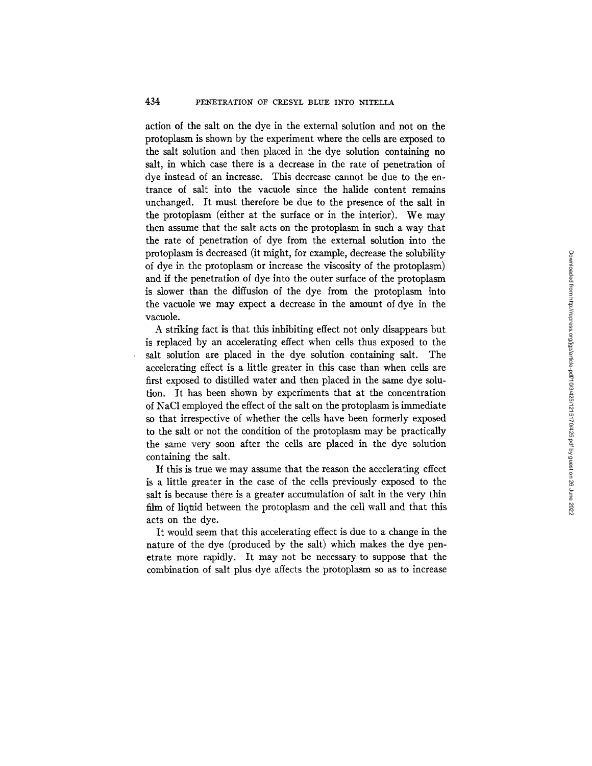# 434 PENETRATION OF CRESYL BLUE INTO NITELLA

action of the salt on the dye in the external solution and not on the protoplasm is shown by the experiment where the cells are exposed to the salt solution and then placed in the dye solution containing no salt, in which case there is a decrease in the rate of penetration of dye instead of an increase. This decrease cannot be due to the entrance of salt into the vacuole since the halide content remains unchanged. It must therefore be due to the presence of the salt in the protoplasm (either at the surface or in the interior). We may then assume that the salt acts on the protoplasm in such a way that the rate of penetration of dye from the external solution into the protoplasm is decreased (it might, for example, decrease the solubility of dye in the protoplasm or increase the viscosity of the protoplasm) and if the penetration of dye into the outer surface of the protoplasm is slower than the diffusion of the dye from the protoplasm into the vacuole we may expect a decrease in the amount of dye in the vacuole.

A striking fact is that this inhibiting effect not only disappears but is replaced by an accelerating effect when cells thus exposed to the salt solution are placed in the dye solution containing salt. The accelerating effect is a little greater in this case than when cells are first exposed to distilled water and then placed in the same dye solution. It has been shown by experiments that at the concentration of NaC1 employed the effect of the salt on the protoplasm is immediate so that irrespective of whether the cells have been formerly exposed to the salt or not the condition of the protoplasm may be practically the same very soon after the cells are placed in the dye solution containing the salt.

If this is true we may assume that the reason the accelerating effect is a little greater in the case of the cells previously exposed to the salt is because there is a greater accumulation of salt in the very thin film of liqtid between the protoplasm and the cell wall and that this acts on the dye.

It would seem that this accelerating effect is due to a change in the nature of the dye (produced by the salt) which makes the dye penetrate more rapidly. It may not be necessary to suppose that the combination of salt plus dye affects the protoplasm so as to increase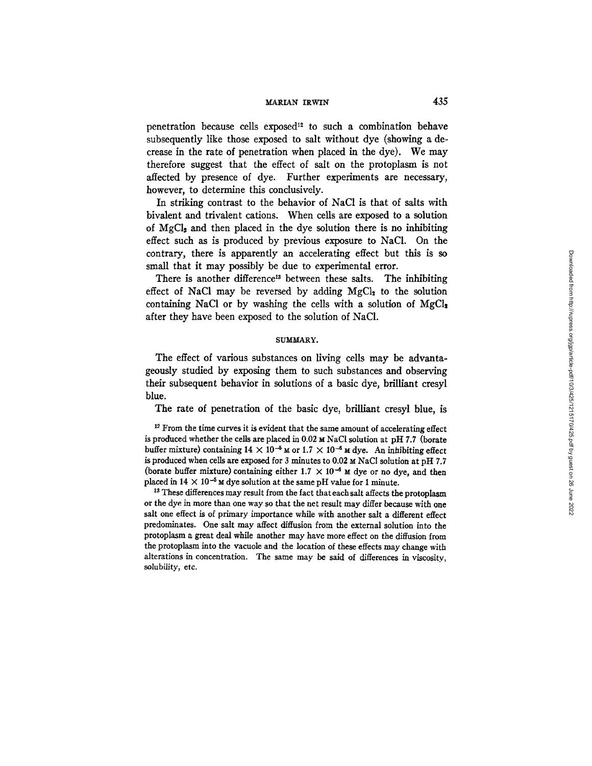# *MARIAN IRWIN* 435

penetration because cells exposed<sup>12</sup> to such a combination behave subsequently like those exposed to salt without dye (showing a decrease in the rate of penetration when placed in the dye). We may therefore suggest that the effect of salt on the protoplasm is not affected by presence of dye. Further experiments are necessary, however, to determine this conclusively.

In striking contrast to the behavior of NaC1 is that of salts with bivalent and trivalent cations. When cells are exposed to a solution of  $MgCl<sub>2</sub>$  and then placed in the dye solution there is no inhibiting effect such as is produced by previous exposure to NaCI. On the contrary, there is apparently an accelerating effect but this is so small that it may possibly be due to experimental error.

There is another difference<sup>13</sup> between these salts. The inhibiting effect of NaCl may be reversed by adding  $MgCl<sub>2</sub>$  to the solution containing NaCl or by washing the cells with a solution of  $MgCl<sub>2</sub>$ after they have been exposed to the solution of NaC1.

### SUMMARY.

The effect of various substances on living cells may be advantageously studied by exposing them to such substances and observing their subsequent behavior in solutions of a basic dye, brilliant cresyl blue.

The rate of penetration of the basic dye, brilliant cresyl blue, is

<sup>12</sup> From the time curves it is evident that the same amount of accelerating effect is produced whether the cells are placed in  $0.02 \text{ m NaCl}$  solution at pH 7.7 (borate buffer mixture) containing  $14 \times 10^{-5}$  M or  $1.7 \times 10^{-6}$  M dye. An inhibiting effect is produced when cells are exposed for 3 minutes to  $0.02 ~\text{m}$  NaCl solution at pH 7.7 (borate buffer mixture) containing either 1.7  $\times$  10<sup>-6</sup>  $\times$  dye or no dye, and then placed in  $14 \times 10^{-5}$  M dye solution at the same pH value for 1 minute.

<sup>13</sup> These differences may result from the fact that each salt affects the protoplasm or the dye in more than one way so that the net result may differ because with one salt one effect is of primary importance while with another salt a different effect predominates. One salt may affect diffusion from the external solution into the protoplasm a great deal while another may have more effect on the diffusion from the protoplasm into the vacuole and the location of these effects may change with alterations in concentration. The same may be said of differences in viscosity, solubility, etc.